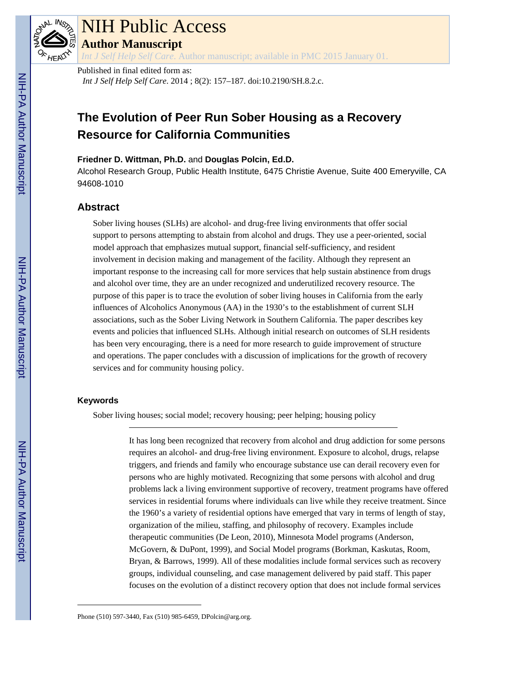

# NIH Public Access

**Author Manuscript**

*Int J Self Help Self Care*. Author manuscript; available in PMC 2015 January 01.

Published in final edited form as:

*Int J Self Help Self Care*. 2014 ; 8(2): 157–187. doi:10.2190/SH.8.2.c.

# **The Evolution of Peer Run Sober Housing as a Recovery Resource for California Communities**

### **Friedner D. Wittman, Ph.D.** and **Douglas Polcin, Ed.D.**

Alcohol Research Group, Public Health Institute, 6475 Christie Avenue, Suite 400 Emeryville, CA 94608-1010

# **Abstract**

Sober living houses (SLHs) are alcohol- and drug-free living environments that offer social support to persons attempting to abstain from alcohol and drugs. They use a peer-oriented, social model approach that emphasizes mutual support, financial self-sufficiency, and resident involvement in decision making and management of the facility. Although they represent an important response to the increasing call for more services that help sustain abstinence from drugs and alcohol over time, they are an under recognized and underutilized recovery resource. The purpose of this paper is to trace the evolution of sober living houses in California from the early influences of Alcoholics Anonymous (AA) in the 1930's to the establishment of current SLH associations, such as the Sober Living Network in Southern California. The paper describes key events and policies that influenced SLHs. Although initial research on outcomes of SLH residents has been very encouraging, there is a need for more research to guide improvement of structure and operations. The paper concludes with a discussion of implications for the growth of recovery services and for community housing policy.

### **Keywords**

Sober living houses; social model; recovery housing; peer helping; housing policy

It has long been recognized that recovery from alcohol and drug addiction for some persons requires an alcohol- and drug-free living environment. Exposure to alcohol, drugs, relapse triggers, and friends and family who encourage substance use can derail recovery even for persons who are highly motivated. Recognizing that some persons with alcohol and drug problems lack a living environment supportive of recovery, treatment programs have offered services in residential forums where individuals can live while they receive treatment. Since the 1960's a variety of residential options have emerged that vary in terms of length of stay, organization of the milieu, staffing, and philosophy of recovery. Examples include therapeutic communities (De Leon, 2010), Minnesota Model programs (Anderson, McGovern, & DuPont, 1999), and Social Model programs (Borkman, Kaskutas, Room, Bryan, & Barrows, 1999). All of these modalities include formal services such as recovery groups, individual counseling, and case management delivered by paid staff. This paper focuses on the evolution of a distinct recovery option that does not include formal services

Phone (510) 597-3440, Fax (510) 985-6459, DPolcin@arg.org.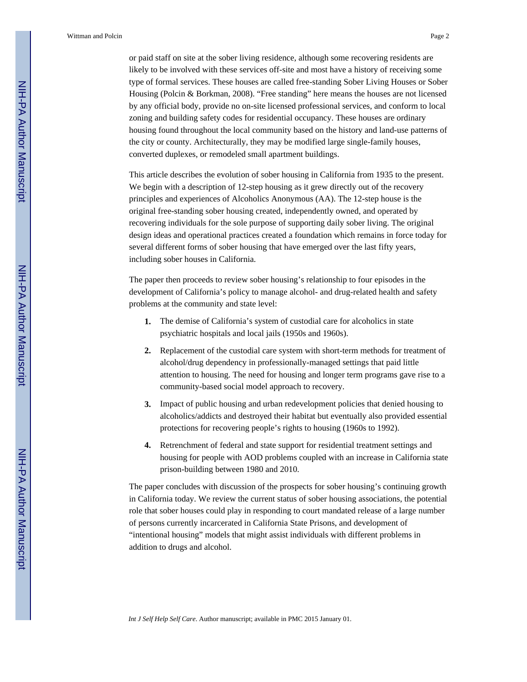or paid staff on site at the sober living residence, although some recovering residents are likely to be involved with these services off-site and most have a history of receiving some type of formal services. These houses are called free-standing Sober Living Houses or Sober Housing (Polcin & Borkman, 2008). "Free standing" here means the houses are not licensed by any official body, provide no on-site licensed professional services, and conform to local zoning and building safety codes for residential occupancy. These houses are ordinary housing found throughout the local community based on the history and land-use patterns of the city or county. Architecturally, they may be modified large single-family houses, converted duplexes, or remodeled small apartment buildings.

This article describes the evolution of sober housing in California from 1935 to the present. We begin with a description of 12-step housing as it grew directly out of the recovery principles and experiences of Alcoholics Anonymous (AA). The 12-step house is the original free-standing sober housing created, independently owned, and operated by recovering individuals for the sole purpose of supporting daily sober living. The original design ideas and operational practices created a foundation which remains in force today for several different forms of sober housing that have emerged over the last fifty years, including sober houses in California.

The paper then proceeds to review sober housing's relationship to four episodes in the development of California's policy to manage alcohol- and drug-related health and safety problems at the community and state level:

- **1.** The demise of California's system of custodial care for alcoholics in state psychiatric hospitals and local jails (1950s and 1960s).
- **2.** Replacement of the custodial care system with short-term methods for treatment of alcohol/drug dependency in professionally-managed settings that paid little attention to housing. The need for housing and longer term programs gave rise to a community-based social model approach to recovery.
- **3.** Impact of public housing and urban redevelopment policies that denied housing to alcoholics/addicts and destroyed their habitat but eventually also provided essential protections for recovering people's rights to housing (1960s to 1992).
- **4.** Retrenchment of federal and state support for residential treatment settings and housing for people with AOD problems coupled with an increase in California state prison-building between 1980 and 2010.

The paper concludes with discussion of the prospects for sober housing's continuing growth in California today. We review the current status of sober housing associations, the potential role that sober houses could play in responding to court mandated release of a large number of persons currently incarcerated in California State Prisons, and development of "intentional housing" models that might assist individuals with different problems in addition to drugs and alcohol.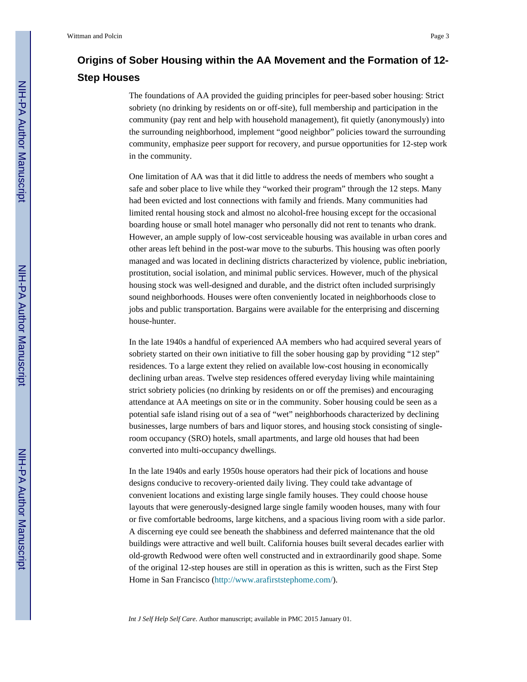# **Origins of Sober Housing within the AA Movement and the Formation of 12- Step Houses**

The foundations of AA provided the guiding principles for peer-based sober housing: Strict sobriety (no drinking by residents on or off-site), full membership and participation in the community (pay rent and help with household management), fit quietly (anonymously) into the surrounding neighborhood, implement "good neighbor" policies toward the surrounding community, emphasize peer support for recovery, and pursue opportunities for 12-step work in the community.

One limitation of AA was that it did little to address the needs of members who sought a safe and sober place to live while they "worked their program" through the 12 steps. Many had been evicted and lost connections with family and friends. Many communities had limited rental housing stock and almost no alcohol-free housing except for the occasional boarding house or small hotel manager who personally did not rent to tenants who drank. However, an ample supply of low-cost serviceable housing was available in urban cores and other areas left behind in the post-war move to the suburbs. This housing was often poorly managed and was located in declining districts characterized by violence, public inebriation, prostitution, social isolation, and minimal public services. However, much of the physical housing stock was well-designed and durable, and the district often included surprisingly sound neighborhoods. Houses were often conveniently located in neighborhoods close to jobs and public transportation. Bargains were available for the enterprising and discerning house-hunter.

In the late 1940s a handful of experienced AA members who had acquired several years of sobriety started on their own initiative to fill the sober housing gap by providing "12 step" residences. To a large extent they relied on available low-cost housing in economically declining urban areas. Twelve step residences offered everyday living while maintaining strict sobriety policies (no drinking by residents on or off the premises) and encouraging attendance at AA meetings on site or in the community. Sober housing could be seen as a potential safe island rising out of a sea of "wet" neighborhoods characterized by declining businesses, large numbers of bars and liquor stores, and housing stock consisting of singleroom occupancy (SRO) hotels, small apartments, and large old houses that had been converted into multi-occupancy dwellings.

In the late 1940s and early 1950s house operators had their pick of locations and house designs conducive to recovery-oriented daily living. They could take advantage of convenient locations and existing large single family houses. They could choose house layouts that were generously-designed large single family wooden houses, many with four or five comfortable bedrooms, large kitchens, and a spacious living room with a side parlor. A discerning eye could see beneath the shabbiness and deferred maintenance that the old buildings were attractive and well built. California houses built several decades earlier with old-growth Redwood were often well constructed and in extraordinarily good shape. Some of the original 12-step houses are still in operation as this is written, such as the First Step Home in San Francisco [\(http://www.arafirststephome.com/\)](http://www.arafirststephome.com/).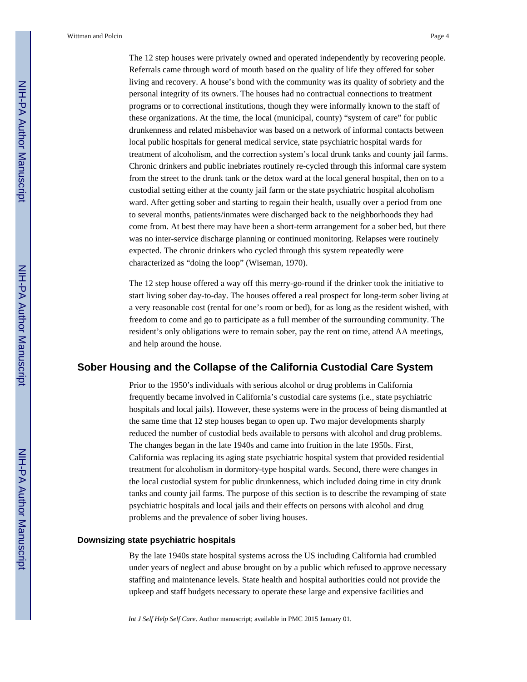The 12 step houses were privately owned and operated independently by recovering people. Referrals came through word of mouth based on the quality of life they offered for sober living and recovery. A house's bond with the community was its quality of sobriety and the personal integrity of its owners. The houses had no contractual connections to treatment programs or to correctional institutions, though they were informally known to the staff of these organizations. At the time, the local (municipal, county) "system of care" for public drunkenness and related misbehavior was based on a network of informal contacts between local public hospitals for general medical service, state psychiatric hospital wards for treatment of alcoholism, and the correction system's local drunk tanks and county jail farms. Chronic drinkers and public inebriates routinely re-cycled through this informal care system from the street to the drunk tank or the detox ward at the local general hospital, then on to a custodial setting either at the county jail farm or the state psychiatric hospital alcoholism ward. After getting sober and starting to regain their health, usually over a period from one to several months, patients/inmates were discharged back to the neighborhoods they had come from. At best there may have been a short-term arrangement for a sober bed, but there was no inter-service discharge planning or continued monitoring. Relapses were routinely expected. The chronic drinkers who cycled through this system repeatedly were characterized as "doing the loop" (Wiseman, 1970).

The 12 step house offered a way off this merry-go-round if the drinker took the initiative to start living sober day-to-day. The houses offered a real prospect for long-term sober living at a very reasonable cost (rental for one's room or bed), for as long as the resident wished, with freedom to come and go to participate as a full member of the surrounding community. The resident's only obligations were to remain sober, pay the rent on time, attend AA meetings, and help around the house.

### **Sober Housing and the Collapse of the California Custodial Care System**

Prior to the 1950's individuals with serious alcohol or drug problems in California frequently became involved in California's custodial care systems (i.e., state psychiatric hospitals and local jails). However, these systems were in the process of being dismantled at the same time that 12 step houses began to open up. Two major developments sharply reduced the number of custodial beds available to persons with alcohol and drug problems. The changes began in the late 1940s and came into fruition in the late 1950s. First, California was replacing its aging state psychiatric hospital system that provided residential treatment for alcoholism in dormitory-type hospital wards. Second, there were changes in the local custodial system for public drunkenness, which included doing time in city drunk tanks and county jail farms. The purpose of this section is to describe the revamping of state psychiatric hospitals and local jails and their effects on persons with alcohol and drug problems and the prevalence of sober living houses.

### **Downsizing state psychiatric hospitals**

By the late 1940s state hospital systems across the US including California had crumbled under years of neglect and abuse brought on by a public which refused to approve necessary staffing and maintenance levels. State health and hospital authorities could not provide the upkeep and staff budgets necessary to operate these large and expensive facilities and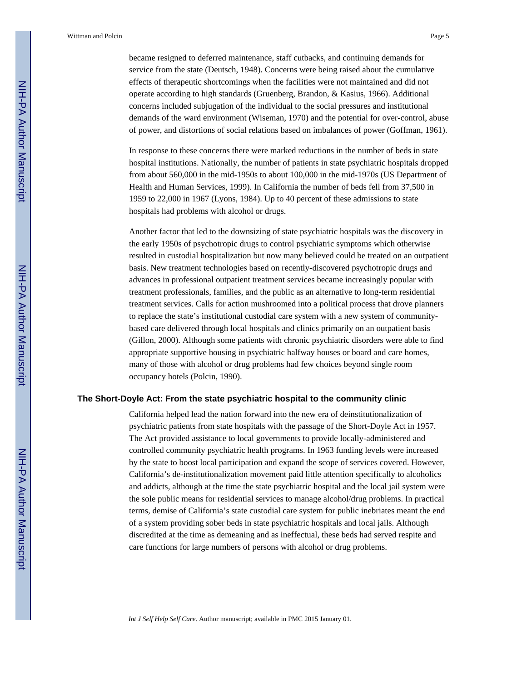became resigned to deferred maintenance, staff cutbacks, and continuing demands for service from the state (Deutsch, 1948). Concerns were being raised about the cumulative effects of therapeutic shortcomings when the facilities were not maintained and did not operate according to high standards (Gruenberg, Brandon, & Kasius, 1966). Additional concerns included subjugation of the individual to the social pressures and institutional demands of the ward environment (Wiseman, 1970) and the potential for over-control, abuse of power, and distortions of social relations based on imbalances of power (Goffman, 1961).

In response to these concerns there were marked reductions in the number of beds in state hospital institutions. Nationally, the number of patients in state psychiatric hospitals dropped from about 560,000 in the mid-1950s to about 100,000 in the mid-1970s (US Department of Health and Human Services, 1999). In California the number of beds fell from 37,500 in 1959 to 22,000 in 1967 (Lyons, 1984). Up to 40 percent of these admissions to state hospitals had problems with alcohol or drugs.

Another factor that led to the downsizing of state psychiatric hospitals was the discovery in the early 1950s of psychotropic drugs to control psychiatric symptoms which otherwise resulted in custodial hospitalization but now many believed could be treated on an outpatient basis. New treatment technologies based on recently-discovered psychotropic drugs and advances in professional outpatient treatment services became increasingly popular with treatment professionals, families, and the public as an alternative to long-term residential treatment services. Calls for action mushroomed into a political process that drove planners to replace the state's institutional custodial care system with a new system of communitybased care delivered through local hospitals and clinics primarily on an outpatient basis (Gillon, 2000). Although some patients with chronic psychiatric disorders were able to find appropriate supportive housing in psychiatric halfway houses or board and care homes, many of those with alcohol or drug problems had few choices beyond single room occupancy hotels (Polcin, 1990).

#### **The Short-Doyle Act: From the state psychiatric hospital to the community clinic**

California helped lead the nation forward into the new era of deinstitutionalization of psychiatric patients from state hospitals with the passage of the Short-Doyle Act in 1957. The Act provided assistance to local governments to provide locally-administered and controlled community psychiatric health programs. In 1963 funding levels were increased by the state to boost local participation and expand the scope of services covered. However, California's de-institutionalization movement paid little attention specifically to alcoholics and addicts, although at the time the state psychiatric hospital and the local jail system were the sole public means for residential services to manage alcohol/drug problems. In practical terms, demise of California's state custodial care system for public inebriates meant the end of a system providing sober beds in state psychiatric hospitals and local jails. Although discredited at the time as demeaning and as ineffectual, these beds had served respite and care functions for large numbers of persons with alcohol or drug problems.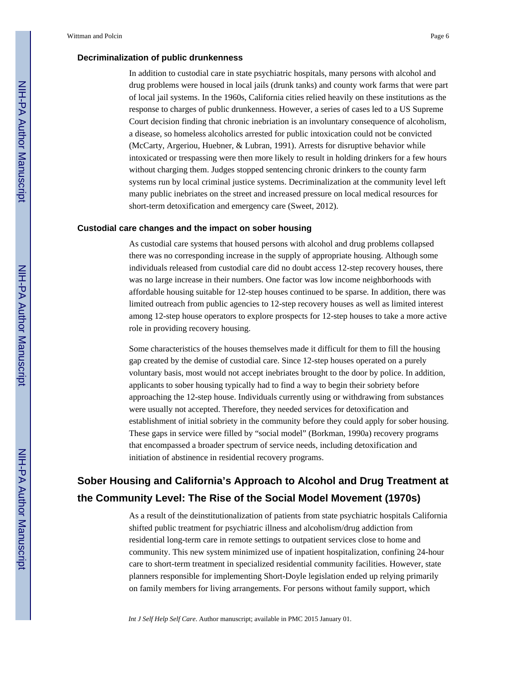### **Decriminalization of public drunkenness**

In addition to custodial care in state psychiatric hospitals, many persons with alcohol and drug problems were housed in local jails (drunk tanks) and county work farms that were part of local jail systems. In the 1960s, California cities relied heavily on these institutions as the response to charges of public drunkenness. However, a series of cases led to a US Supreme Court decision finding that chronic inebriation is an involuntary consequence of alcoholism, a disease, so homeless alcoholics arrested for public intoxication could not be convicted (McCarty, Argeriou, Huebner, & Lubran, 1991). Arrests for disruptive behavior while intoxicated or trespassing were then more likely to result in holding drinkers for a few hours without charging them. Judges stopped sentencing chronic drinkers to the county farm systems run by local criminal justice systems. Decriminalization at the community level left many public inebriates on the street and increased pressure on local medical resources for short-term detoxification and emergency care (Sweet, 2012).

### **Custodial care changes and the impact on sober housing**

As custodial care systems that housed persons with alcohol and drug problems collapsed there was no corresponding increase in the supply of appropriate housing. Although some individuals released from custodial care did no doubt access 12-step recovery houses, there was no large increase in their numbers. One factor was low income neighborhoods with affordable housing suitable for 12-step houses continued to be sparse. In addition, there was limited outreach from public agencies to 12-step recovery houses as well as limited interest among 12-step house operators to explore prospects for 12-step houses to take a more active role in providing recovery housing.

Some characteristics of the houses themselves made it difficult for them to fill the housing gap created by the demise of custodial care. Since 12-step houses operated on a purely voluntary basis, most would not accept inebriates brought to the door by police. In addition, applicants to sober housing typically had to find a way to begin their sobriety before approaching the 12-step house. Individuals currently using or withdrawing from substances were usually not accepted. Therefore, they needed services for detoxification and establishment of initial sobriety in the community before they could apply for sober housing. These gaps in service were filled by "social model" (Borkman, 1990a) recovery programs that encompassed a broader spectrum of service needs, including detoxification and initiation of abstinence in residential recovery programs.

# **Sober Housing and California's Approach to Alcohol and Drug Treatment at the Community Level: The Rise of the Social Model Movement (1970s)**

As a result of the deinstitutionalization of patients from state psychiatric hospitals California shifted public treatment for psychiatric illness and alcoholism/drug addiction from residential long-term care in remote settings to outpatient services close to home and community. This new system minimized use of inpatient hospitalization, confining 24-hour care to short-term treatment in specialized residential community facilities. However, state planners responsible for implementing Short-Doyle legislation ended up relying primarily on family members for living arrangements. For persons without family support, which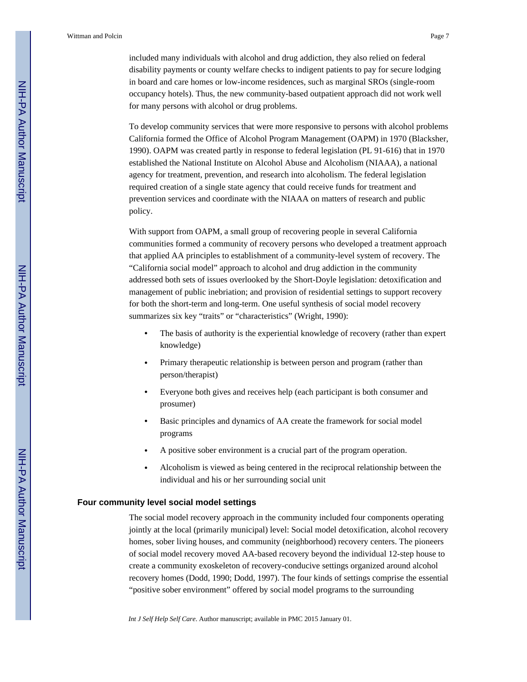included many individuals with alcohol and drug addiction, they also relied on federal disability payments or county welfare checks to indigent patients to pay for secure lodging in board and care homes or low-income residences, such as marginal SROs (single-room occupancy hotels). Thus, the new community-based outpatient approach did not work well for many persons with alcohol or drug problems.

To develop community services that were more responsive to persons with alcohol problems California formed the Office of Alcohol Program Management (OAPM) in 1970 (Blacksher, 1990). OAPM was created partly in response to federal legislation (PL 91-616) that in 1970 established the National Institute on Alcohol Abuse and Alcoholism (NIAAA), a national agency for treatment, prevention, and research into alcoholism. The federal legislation required creation of a single state agency that could receive funds for treatment and prevention services and coordinate with the NIAAA on matters of research and public policy.

With support from OAPM, a small group of recovering people in several California communities formed a community of recovery persons who developed a treatment approach that applied AA principles to establishment of a community-level system of recovery. The "California social model" approach to alcohol and drug addiction in the community addressed both sets of issues overlooked by the Short-Doyle legislation: detoxification and management of public inebriation; and provision of residential settings to support recovery for both the short-term and long-term. One useful synthesis of social model recovery summarizes six key "traits" or "characteristics" (Wright, 1990):

- The basis of authority is the experiential knowledge of recovery (rather than expert knowledge)
- **•** Primary therapeutic relationship is between person and program (rather than person/therapist)
- **•** Everyone both gives and receives help (each participant is both consumer and prosumer)
- **•** Basic principles and dynamics of AA create the framework for social model programs
- **•** A positive sober environment is a crucial part of the program operation.
- **•** Alcoholism is viewed as being centered in the reciprocal relationship between the individual and his or her surrounding social unit

### **Four community level social model settings**

The social model recovery approach in the community included four components operating jointly at the local (primarily municipal) level: Social model detoxification, alcohol recovery homes, sober living houses, and community (neighborhood) recovery centers. The pioneers of social model recovery moved AA-based recovery beyond the individual 12-step house to create a community exoskeleton of recovery-conducive settings organized around alcohol recovery homes (Dodd, 1990; Dodd, 1997). The four kinds of settings comprise the essential "positive sober environment" offered by social model programs to the surrounding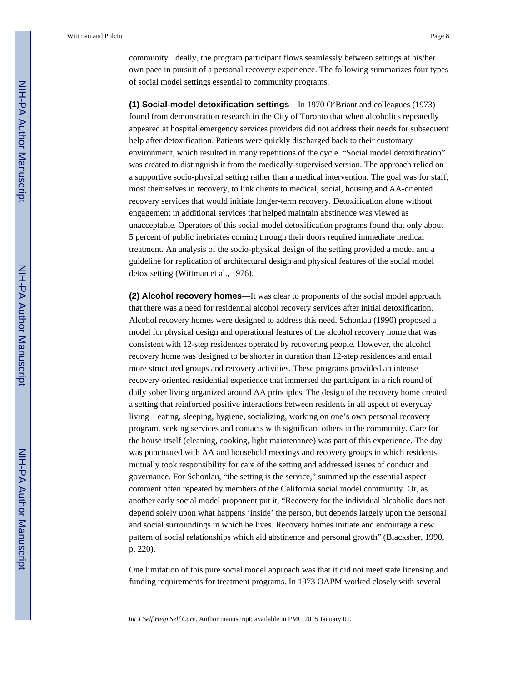community. Ideally, the program participant flows seamlessly between settings at his/her own pace in pursuit of a personal recovery experience. The following summarizes four types of social model settings essential to community programs.

**(1) Social-model detoxification settings—**In 1970 O'Briant and colleagues (1973) found from demonstration research in the City of Toronto that when alcoholics repeatedly appeared at hospital emergency services providers did not address their needs for subsequent help after detoxification. Patients were quickly discharged back to their customary environment, which resulted in many repetitions of the cycle. "Social model detoxification" was created to distinguish it from the medically-supervised version. The approach relied on a supportive socio-physical setting rather than a medical intervention. The goal was for staff, most themselves in recovery, to link clients to medical, social, housing and AA-oriented recovery services that would initiate longer-term recovery. Detoxification alone without engagement in additional services that helped maintain abstinence was viewed as unacceptable. Operators of this social-model detoxification programs found that only about 5 percent of public inebriates coming through their doors required immediate medical treatment. An analysis of the socio-physical design of the setting provided a model and a guideline for replication of architectural design and physical features of the social model detox setting (Wittman et al., 1976).

**(2) Alcohol recovery homes—**It was clear to proponents of the social model approach that there was a need for residential alcohol recovery services after initial detoxification. Alcohol recovery homes were designed to address this need. Schonlau (1990) proposed a model for physical design and operational features of the alcohol recovery home that was consistent with 12-step residences operated by recovering people. However, the alcohol recovery home was designed to be shorter in duration than 12-step residences and entail more structured groups and recovery activities. These programs provided an intense recovery-oriented residential experience that immersed the participant in a rich round of daily sober living organized around AA principles. The design of the recovery home created a setting that reinforced positive interactions between residents in all aspect of everyday living – eating, sleeping, hygiene, socializing, working on one's own personal recovery program, seeking services and contacts with significant others in the community. Care for the house itself (cleaning, cooking, light maintenance) was part of this experience. The day was punctuated with AA and household meetings and recovery groups in which residents mutually took responsibility for care of the setting and addressed issues of conduct and governance. For Schonlau, "the setting is the service," summed up the essential aspect comment often repeated by members of the California social model community. Or, as another early social model proponent put it, "Recovery for the individual alcoholic does not depend solely upon what happens 'inside' the person, but depends largely upon the personal and social surroundings in which he lives. Recovery homes initiate and encourage a new pattern of social relationships which aid abstinence and personal growth" (Blacksher, 1990, p. 220).

One limitation of this pure social model approach was that it did not meet state licensing and funding requirements for treatment programs. In 1973 OAPM worked closely with several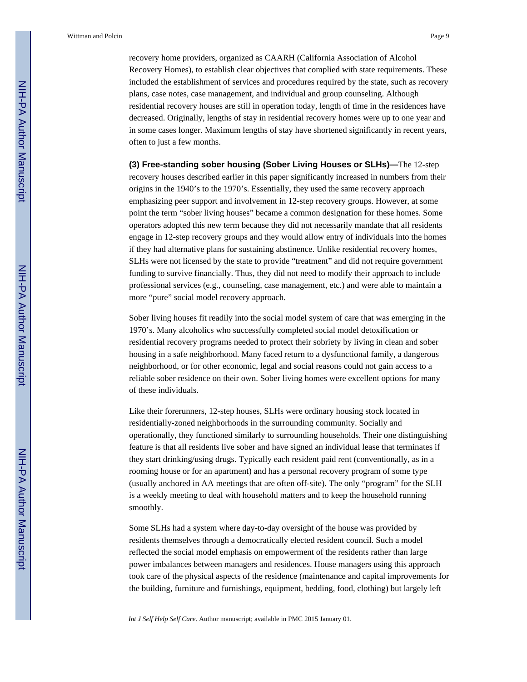recovery home providers, organized as CAARH (California Association of Alcohol Recovery Homes), to establish clear objectives that complied with state requirements. These included the establishment of services and procedures required by the state, such as recovery plans, case notes, case management, and individual and group counseling. Although residential recovery houses are still in operation today, length of time in the residences have decreased. Originally, lengths of stay in residential recovery homes were up to one year and in some cases longer. Maximum lengths of stay have shortened significantly in recent years, often to just a few months.

**(3) Free-standing sober housing (Sober Living Houses or SLHs)—**The 12-step recovery houses described earlier in this paper significantly increased in numbers from their origins in the 1940's to the 1970's. Essentially, they used the same recovery approach emphasizing peer support and involvement in 12-step recovery groups. However, at some point the term "sober living houses" became a common designation for these homes. Some operators adopted this new term because they did not necessarily mandate that all residents engage in 12-step recovery groups and they would allow entry of individuals into the homes if they had alternative plans for sustaining abstinence. Unlike residential recovery homes, SLHs were not licensed by the state to provide "treatment" and did not require government funding to survive financially. Thus, they did not need to modify their approach to include professional services (e.g., counseling, case management, etc.) and were able to maintain a more "pure" social model recovery approach.

Sober living houses fit readily into the social model system of care that was emerging in the 1970's. Many alcoholics who successfully completed social model detoxification or residential recovery programs needed to protect their sobriety by living in clean and sober housing in a safe neighborhood. Many faced return to a dysfunctional family, a dangerous neighborhood, or for other economic, legal and social reasons could not gain access to a reliable sober residence on their own. Sober living homes were excellent options for many of these individuals.

Like their forerunners, 12-step houses, SLHs were ordinary housing stock located in residentially-zoned neighborhoods in the surrounding community. Socially and operationally, they functioned similarly to surrounding households. Their one distinguishing feature is that all residents live sober and have signed an individual lease that terminates if they start drinking/using drugs. Typically each resident paid rent (conventionally, as in a rooming house or for an apartment) and has a personal recovery program of some type (usually anchored in AA meetings that are often off-site). The only "program" for the SLH is a weekly meeting to deal with household matters and to keep the household running smoothly.

Some SLHs had a system where day-to-day oversight of the house was provided by residents themselves through a democratically elected resident council. Such a model reflected the social model emphasis on empowerment of the residents rather than large power imbalances between managers and residences. House managers using this approach took care of the physical aspects of the residence (maintenance and capital improvements for the building, furniture and furnishings, equipment, bedding, food, clothing) but largely left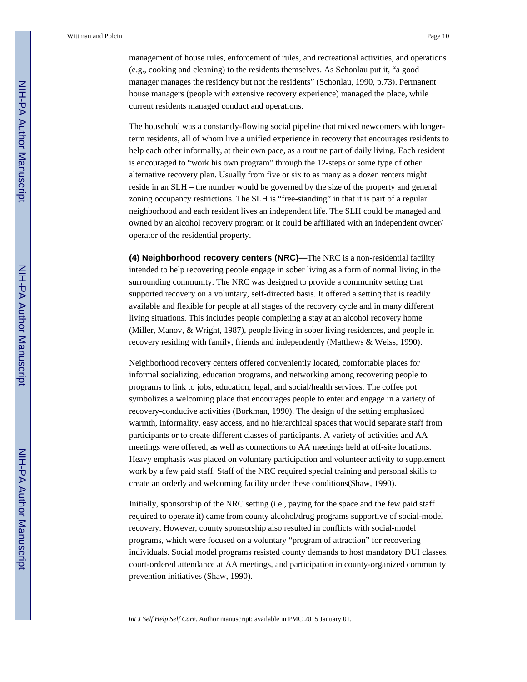management of house rules, enforcement of rules, and recreational activities, and operations (e.g., cooking and cleaning) to the residents themselves. As Schonlau put it, "a good manager manages the residency but not the residents" (Schonlau, 1990, p.73). Permanent house managers (people with extensive recovery experience) managed the place, while current residents managed conduct and operations.

The household was a constantly-flowing social pipeline that mixed newcomers with longerterm residents, all of whom live a unified experience in recovery that encourages residents to help each other informally, at their own pace, as a routine part of daily living. Each resident is encouraged to "work his own program" through the 12-steps or some type of other alternative recovery plan. Usually from five or six to as many as a dozen renters might reside in an SLH – the number would be governed by the size of the property and general zoning occupancy restrictions. The SLH is "free-standing" in that it is part of a regular neighborhood and each resident lives an independent life. The SLH could be managed and owned by an alcohol recovery program or it could be affiliated with an independent owner/ operator of the residential property.

**(4) Neighborhood recovery centers (NRC)—**The NRC is a non-residential facility intended to help recovering people engage in sober living as a form of normal living in the surrounding community. The NRC was designed to provide a community setting that supported recovery on a voluntary, self-directed basis. It offered a setting that is readily available and flexible for people at all stages of the recovery cycle and in many different living situations. This includes people completing a stay at an alcohol recovery home (Miller, Manov, & Wright, 1987), people living in sober living residences, and people in recovery residing with family, friends and independently (Matthews & Weiss, 1990).

Neighborhood recovery centers offered conveniently located, comfortable places for informal socializing, education programs, and networking among recovering people to programs to link to jobs, education, legal, and social/health services. The coffee pot symbolizes a welcoming place that encourages people to enter and engage in a variety of recovery-conducive activities (Borkman, 1990). The design of the setting emphasized warmth, informality, easy access, and no hierarchical spaces that would separate staff from participants or to create different classes of participants. A variety of activities and AA meetings were offered, as well as connections to AA meetings held at off-site locations. Heavy emphasis was placed on voluntary participation and volunteer activity to supplement work by a few paid staff. Staff of the NRC required special training and personal skills to create an orderly and welcoming facility under these conditions(Shaw, 1990).

Initially, sponsorship of the NRC setting (i.e., paying for the space and the few paid staff required to operate it) came from county alcohol/drug programs supportive of social-model recovery. However, county sponsorship also resulted in conflicts with social-model programs, which were focused on a voluntary "program of attraction" for recovering individuals. Social model programs resisted county demands to host mandatory DUI classes, court-ordered attendance at AA meetings, and participation in county-organized community prevention initiatives (Shaw, 1990).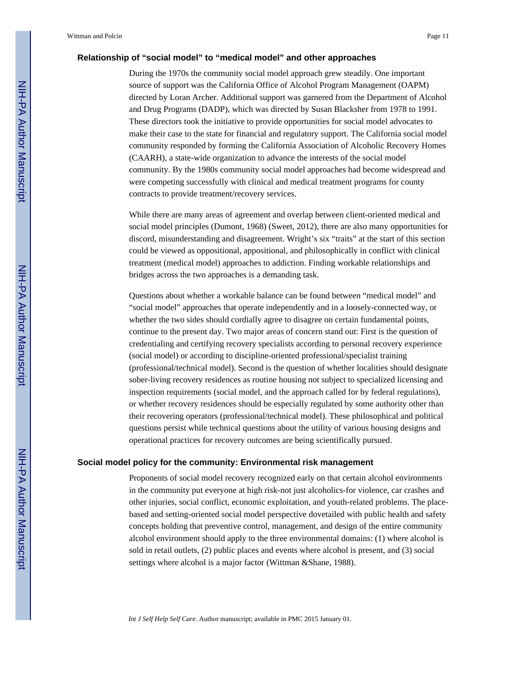### **Relationship of "social model" to "medical model" and other approaches**

During the 1970s the community social model approach grew steadily. One important source of support was the California Office of Alcohol Program Management (OAPM) directed by Loran Archer. Additional support was garnered from the Department of Alcohol and Drug Programs (DADP), which was directed by Susan Blacksher from 1978 to 1991. These directors took the initiative to provide opportunities for social model advocates to make their case to the state for financial and regulatory support. The California social model community responded by forming the California Association of Alcoholic Recovery Homes (CAARH), a state-wide organization to advance the interests of the social model community. By the 1980s community social model approaches had become widespread and were competing successfully with clinical and medical treatment programs for county contracts to provide treatment/recovery services.

While there are many areas of agreement and overlap between client-oriented medical and social model principles (Dumont, 1968) (Sweet, 2012), there are also many opportunities for discord, misunderstanding and disagreement. Wright's six "traits" at the start of this section could be viewed as oppositional, appositional, and philosophically in conflict with clinical treatment (medical model) approaches to addiction. Finding workable relationships and bridges across the two approaches is a demanding task.

Questions about whether a workable balance can be found between "medical model" and "social model" approaches that operate independently and in a loosely-connected way, or whether the two sides should cordially agree to disagree on certain fundamental points, continue to the present day. Two major areas of concern stand out: First is the question of credentialing and certifying recovery specialists according to personal recovery experience (social model) or according to discipline-oriented professional/specialist training (professional/technical model). Second is the question of whether localities should designate sober-living recovery residences as routine housing not subject to specialized licensing and inspection requirements (social model, and the approach called for by federal regulations), or whether recovery residences should be especially regulated by some authority other than their recovering operators (professional/technical model). These philosophical and political questions persist while technical questions about the utility of various housing designs and operational practices for recovery outcomes are being scientifically pursued.

#### **Social model policy for the community: Environmental risk management**

Proponents of social model recovery recognized early on that certain alcohol environments in the community put everyone at high risk-not just alcoholics-for violence, car crashes and other injuries, social conflict, economic exploitation, and youth-related problems. The placebased and setting-oriented social model perspective dovetailed with public health and safety concepts holding that preventive control, management, and design of the entire community alcohol environment should apply to the three environmental domains: (1) where alcohol is sold in retail outlets, (2) public places and events where alcohol is present, and (3) social settings where alcohol is a major factor (Wittman &Shane, 1988).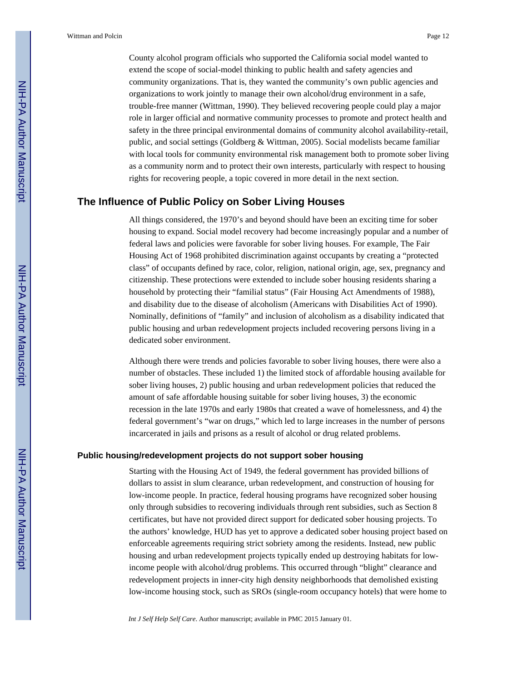County alcohol program officials who supported the California social model wanted to extend the scope of social-model thinking to public health and safety agencies and community organizations. That is, they wanted the community's own public agencies and organizations to work jointly to manage their own alcohol/drug environment in a safe, trouble-free manner (Wittman, 1990). They believed recovering people could play a major role in larger official and normative community processes to promote and protect health and safety in the three principal environmental domains of community alcohol availability-retail, public, and social settings (Goldberg & Wittman, 2005). Social modelists became familiar with local tools for community environmental risk management both to promote sober living as a community norm and to protect their own interests, particularly with respect to housing rights for recovering people, a topic covered in more detail in the next section.

### **The Influence of Public Policy on Sober Living Houses**

All things considered, the 1970's and beyond should have been an exciting time for sober housing to expand. Social model recovery had become increasingly popular and a number of federal laws and policies were favorable for sober living houses. For example, The Fair Housing Act of 1968 prohibited discrimination against occupants by creating a "protected class" of occupants defined by race, color, religion, national origin, age, sex, pregnancy and citizenship. These protections were extended to include sober housing residents sharing a household by protecting their "familial status" (Fair Housing Act Amendments of 1988), and disability due to the disease of alcoholism (Americans with Disabilities Act of 1990). Nominally, definitions of "family" and inclusion of alcoholism as a disability indicated that public housing and urban redevelopment projects included recovering persons living in a dedicated sober environment.

Although there were trends and policies favorable to sober living houses, there were also a number of obstacles. These included 1) the limited stock of affordable housing available for sober living houses, 2) public housing and urban redevelopment policies that reduced the amount of safe affordable housing suitable for sober living houses, 3) the economic recession in the late 1970s and early 1980s that created a wave of homelessness, and 4) the federal government's "war on drugs," which led to large increases in the number of persons incarcerated in jails and prisons as a result of alcohol or drug related problems.

### **Public housing/redevelopment projects do not support sober housing**

Starting with the Housing Act of 1949, the federal government has provided billions of dollars to assist in slum clearance, urban redevelopment, and construction of housing for low-income people. In practice, federal housing programs have recognized sober housing only through subsidies to recovering individuals through rent subsidies, such as Section 8 certificates, but have not provided direct support for dedicated sober housing projects. To the authors' knowledge, HUD has yet to approve a dedicated sober housing project based on enforceable agreements requiring strict sobriety among the residents. Instead, new public housing and urban redevelopment projects typically ended up destroying habitats for lowincome people with alcohol/drug problems. This occurred through "blight" clearance and redevelopment projects in inner-city high density neighborhoods that demolished existing low-income housing stock, such as SROs (single-room occupancy hotels) that were home to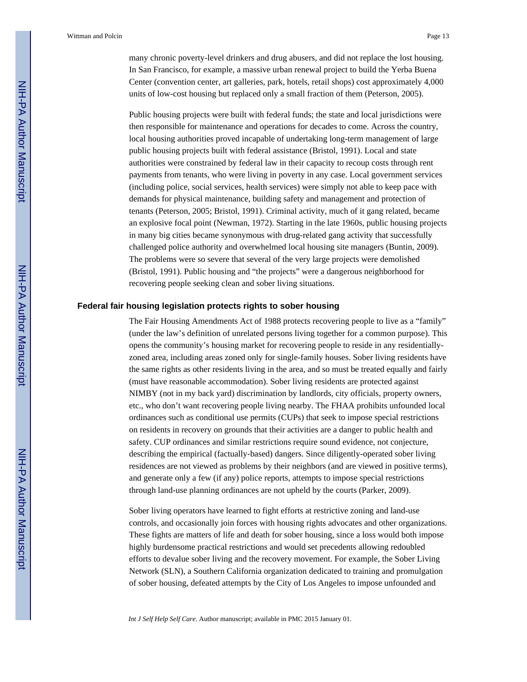many chronic poverty-level drinkers and drug abusers, and did not replace the lost housing. In San Francisco, for example, a massive urban renewal project to build the Yerba Buena Center (convention center, art galleries, park, hotels, retail shops) cost approximately 4,000 units of low-cost housing but replaced only a small fraction of them (Peterson, 2005).

Public housing projects were built with federal funds; the state and local jurisdictions were then responsible for maintenance and operations for decades to come. Across the country, local housing authorities proved incapable of undertaking long-term management of large public housing projects built with federal assistance (Bristol, 1991). Local and state authorities were constrained by federal law in their capacity to recoup costs through rent payments from tenants, who were living in poverty in any case. Local government services (including police, social services, health services) were simply not able to keep pace with demands for physical maintenance, building safety and management and protection of tenants (Peterson, 2005; Bristol, 1991). Criminal activity, much of it gang related, became an explosive focal point (Newman, 1972). Starting in the late 1960s, public housing projects in many big cities became synonymous with drug-related gang activity that successfully challenged police authority and overwhelmed local housing site managers (Buntin, 2009). The problems were so severe that several of the very large projects were demolished (Bristol, 1991). Public housing and "the projects" were a dangerous neighborhood for recovering people seeking clean and sober living situations.

#### **Federal fair housing legislation protects rights to sober housing**

The Fair Housing Amendments Act of 1988 protects recovering people to live as a "family" (under the law's definition of unrelated persons living together for a common purpose). This opens the community's housing market for recovering people to reside in any residentiallyzoned area, including areas zoned only for single-family houses. Sober living residents have the same rights as other residents living in the area, and so must be treated equally and fairly (must have reasonable accommodation). Sober living residents are protected against NIMBY (not in my back yard) discrimination by landlords, city officials, property owners, etc., who don't want recovering people living nearby. The FHAA prohibits unfounded local ordinances such as conditional use permits (CUPs) that seek to impose special restrictions on residents in recovery on grounds that their activities are a danger to public health and safety. CUP ordinances and similar restrictions require sound evidence, not conjecture, describing the empirical (factually-based) dangers. Since diligently-operated sober living residences are not viewed as problems by their neighbors (and are viewed in positive terms), and generate only a few (if any) police reports, attempts to impose special restrictions through land-use planning ordinances are not upheld by the courts (Parker, 2009).

Sober living operators have learned to fight efforts at restrictive zoning and land-use controls, and occasionally join forces with housing rights advocates and other organizations. These fights are matters of life and death for sober housing, since a loss would both impose highly burdensome practical restrictions and would set precedents allowing redoubled efforts to devalue sober living and the recovery movement. For example, the Sober Living Network (SLN), a Southern California organization dedicated to training and promulgation of sober housing, defeated attempts by the City of Los Angeles to impose unfounded and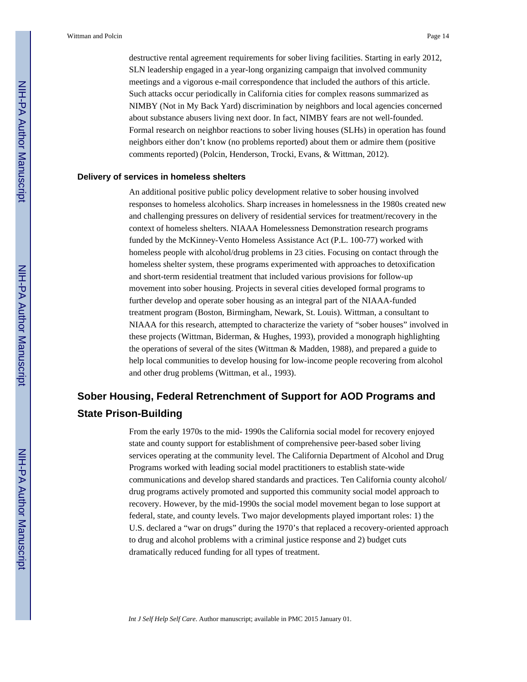destructive rental agreement requirements for sober living facilities. Starting in early 2012, SLN leadership engaged in a year-long organizing campaign that involved community meetings and a vigorous e-mail correspondence that included the authors of this article. Such attacks occur periodically in California cities for complex reasons summarized as NIMBY (Not in My Back Yard) discrimination by neighbors and local agencies concerned about substance abusers living next door. In fact, NIMBY fears are not well-founded. Formal research on neighbor reactions to sober living houses (SLHs) in operation has found neighbors either don't know (no problems reported) about them or admire them (positive comments reported) (Polcin, Henderson, Trocki, Evans, & Wittman, 2012).

### **Delivery of services in homeless shelters**

An additional positive public policy development relative to sober housing involved responses to homeless alcoholics. Sharp increases in homelessness in the 1980s created new and challenging pressures on delivery of residential services for treatment/recovery in the context of homeless shelters. NIAAA Homelessness Demonstration research programs funded by the McKinney-Vento Homeless Assistance Act (P.L. 100-77) worked with homeless people with alcohol/drug problems in 23 cities. Focusing on contact through the homeless shelter system, these programs experimented with approaches to detoxification and short-term residential treatment that included various provisions for follow-up movement into sober housing. Projects in several cities developed formal programs to further develop and operate sober housing as an integral part of the NIAAA-funded treatment program (Boston, Birmingham, Newark, St. Louis). Wittman, a consultant to NIAAA for this research, attempted to characterize the variety of "sober houses" involved in these projects (Wittman, Biderman, & Hughes, 1993), provided a monograph highlighting the operations of several of the sites (Wittman & Madden, 1988), and prepared a guide to help local communities to develop housing for low-income people recovering from alcohol and other drug problems (Wittman, et al., 1993).

# **Sober Housing, Federal Retrenchment of Support for AOD Programs and State Prison-Building**

From the early 1970s to the mid- 1990s the California social model for recovery enjoyed state and county support for establishment of comprehensive peer-based sober living services operating at the community level. The California Department of Alcohol and Drug Programs worked with leading social model practitioners to establish state-wide communications and develop shared standards and practices. Ten California county alcohol/ drug programs actively promoted and supported this community social model approach to recovery. However, by the mid-1990s the social model movement began to lose support at federal, state, and county levels. Two major developments played important roles: 1) the U.S. declared a "war on drugs" during the 1970's that replaced a recovery-oriented approach to drug and alcohol problems with a criminal justice response and 2) budget cuts dramatically reduced funding for all types of treatment.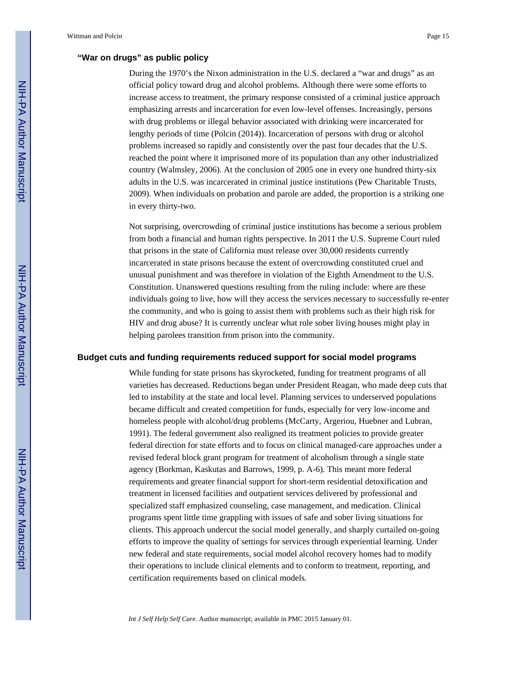During the 1970's the Nixon administration in the U.S. declared a "war and drugs" as an official policy toward drug and alcohol problems. Although there were some efforts to increase access to treatment, the primary response consisted of a criminal justice approach emphasizing arrests and incarceration for even low-level offenses. Increasingly, persons with drug problems or illegal behavior associated with drinking were incarcerated for lengthy periods of time (Polcin (2014)). Incarceration of persons with drug or alcohol problems increased so rapidly and consistently over the past four decades that the U.S. reached the point where it imprisoned more of its population than any other industrialized country (Walmsley, 2006). At the conclusion of 2005 one in every one hundred thirty-six adults in the U.S. was incarcerated in criminal justice institutions (Pew Charitable Trusts, 2009). When individuals on probation and parole are added, the proportion is a striking one in every thirty-two.

Not surprising, overcrowding of criminal justice institutions has become a serious problem from both a financial and human rights perspective. In 2011 the U.S. Supreme Court ruled that prisons in the state of California must release over 30,000 residents currently incarcerated in state prisons because the extent of overcrowding constituted cruel and unusual punishment and was therefore in violation of the Eighth Amendment to the U.S. Constitution. Unanswered questions resulting from the ruling include: where are these individuals going to live, how will they access the services necessary to successfully re-enter the community, and who is going to assist them with problems such as their high risk for HIV and drug abuse? It is currently unclear what role sober living houses might play in helping parolees transition from prison into the community.

### **Budget cuts and funding requirements reduced support for social model programs**

While funding for state prisons has skyrocketed, funding for treatment programs of all varieties has decreased. Reductions began under President Reagan, who made deep cuts that led to instability at the state and local level. Planning services to underserved populations became difficult and created competition for funds, especially for very low-income and homeless people with alcohol/drug problems (McCarty, Argeriou, Huebner and Lubran, 1991). The federal government also realigned its treatment policies to provide greater federal direction for state efforts and to focus on clinical managed-care approaches under a revised federal block grant program for treatment of alcoholism through a single state agency (Borkman, Kaskutas and Barrows, 1999, p. A-6). This meant more federal requirements and greater financial support for short-term residential detoxification and treatment in licensed facilities and outpatient services delivered by professional and specialized staff emphasized counseling, case management, and medication. Clinical programs spent little time grappling with issues of safe and sober living situations for clients. This approach undercut the social model generally, and sharply curtailed on-going efforts to improve the quality of settings for services through experiential learning. Under new federal and state requirements, social model alcohol recovery homes had to modify their operations to include clinical elements and to conform to treatment, reporting, and certification requirements based on clinical models.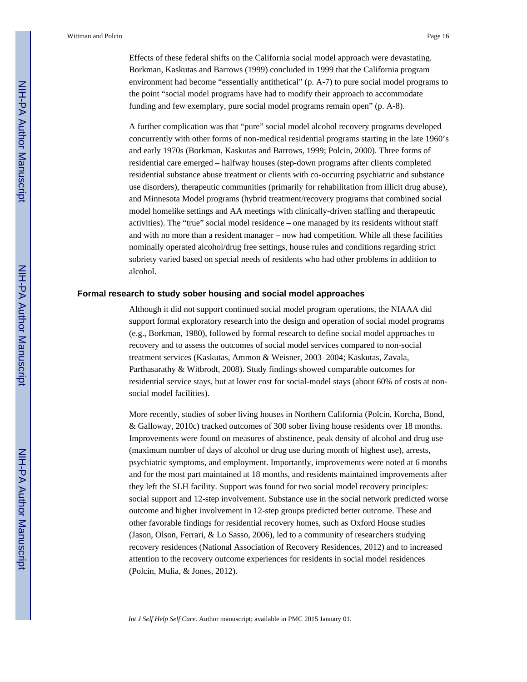Effects of these federal shifts on the California social model approach were devastating. Borkman, Kaskutas and Barrows (1999) concluded in 1999 that the California program environment had become "essentially antithetical" (p. A-7) to pure social model programs to the point "social model programs have had to modify their approach to accommodate funding and few exemplary, pure social model programs remain open" (p. A-8).

A further complication was that "pure" social model alcohol recovery programs developed concurrently with other forms of non-medical residential programs starting in the late 1960's and early 1970s (Borkman, Kaskutas and Barrows, 1999; Polcin, 2000). Three forms of residential care emerged – halfway houses (step-down programs after clients completed residential substance abuse treatment or clients with co-occurring psychiatric and substance use disorders), therapeutic communities (primarily for rehabilitation from illicit drug abuse), and Minnesota Model programs (hybrid treatment/recovery programs that combined social model homelike settings and AA meetings with clinically-driven staffing and therapeutic activities). The "true" social model residence – one managed by its residents without staff and with no more than a resident manager – now had competition. While all these facilities nominally operated alcohol/drug free settings, house rules and conditions regarding strict sobriety varied based on special needs of residents who had other problems in addition to alcohol.

### **Formal research to study sober housing and social model approaches**

Although it did not support continued social model program operations, the NIAAA did support formal exploratory research into the design and operation of social model programs (e.g., Borkman, 1980), followed by formal research to define social model approaches to recovery and to assess the outcomes of social model services compared to non-social treatment services (Kaskutas, Ammon & Weisner, 2003–2004; Kaskutas, Zavala, Parthasarathy & Witbrodt, 2008). Study findings showed comparable outcomes for residential service stays, but at lower cost for social-model stays (about 60% of costs at nonsocial model facilities).

More recently, studies of sober living houses in Northern California (Polcin, Korcha, Bond, & Galloway, 2010c) tracked outcomes of 300 sober living house residents over 18 months. Improvements were found on measures of abstinence, peak density of alcohol and drug use (maximum number of days of alcohol or drug use during month of highest use), arrests, psychiatric symptoms, and employment. Importantly, improvements were noted at 6 months and for the most part maintained at 18 months, and residents maintained improvements after they left the SLH facility. Support was found for two social model recovery principles: social support and 12-step involvement. Substance use in the social network predicted worse outcome and higher involvement in 12-step groups predicted better outcome. These and other favorable findings for residential recovery homes, such as Oxford House studies (Jason, Olson, Ferrari, & Lo Sasso, 2006), led to a community of researchers studying recovery residences (National Association of Recovery Residences, 2012) and to increased attention to the recovery outcome experiences for residents in social model residences (Polcin, Mulia, & Jones, 2012).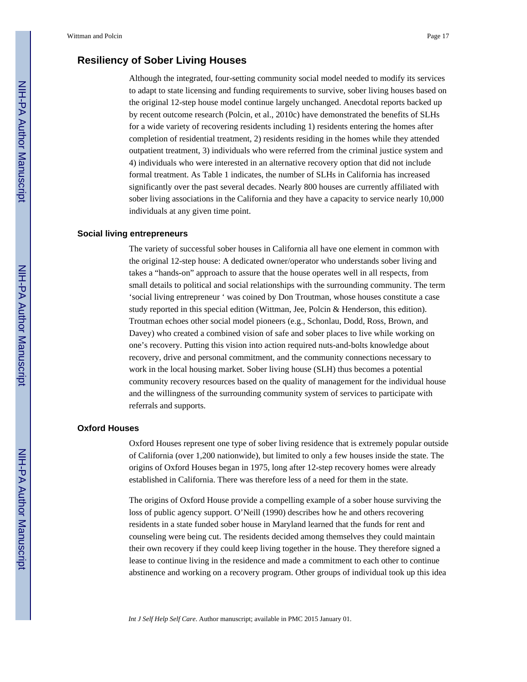### **Resiliency of Sober Living Houses**

Although the integrated, four-setting community social model needed to modify its services to adapt to state licensing and funding requirements to survive, sober living houses based on the original 12-step house model continue largely unchanged. Anecdotal reports backed up by recent outcome research (Polcin, et al., 2010c) have demonstrated the benefits of SLHs for a wide variety of recovering residents including 1) residents entering the homes after completion of residential treatment, 2) residents residing in the homes while they attended outpatient treatment, 3) individuals who were referred from the criminal justice system and 4) individuals who were interested in an alternative recovery option that did not include formal treatment. As Table 1 indicates, the number of SLHs in California has increased significantly over the past several decades. Nearly 800 houses are currently affiliated with sober living associations in the California and they have a capacity to service nearly 10,000 individuals at any given time point.

### **Social living entrepreneurs**

The variety of successful sober houses in California all have one element in common with the original 12-step house: A dedicated owner/operator who understands sober living and takes a "hands-on" approach to assure that the house operates well in all respects, from small details to political and social relationships with the surrounding community. The term 'social living entrepreneur ' was coined by Don Troutman, whose houses constitute a case study reported in this special edition (Wittman, Jee, Polcin & Henderson, this edition). Troutman echoes other social model pioneers (e.g., Schonlau, Dodd, Ross, Brown, and Davey) who created a combined vision of safe and sober places to live while working on one's recovery. Putting this vision into action required nuts-and-bolts knowledge about recovery, drive and personal commitment, and the community connections necessary to work in the local housing market. Sober living house (SLH) thus becomes a potential community recovery resources based on the quality of management for the individual house and the willingness of the surrounding community system of services to participate with referrals and supports.

### **Oxford Houses**

Oxford Houses represent one type of sober living residence that is extremely popular outside of California (over 1,200 nationwide), but limited to only a few houses inside the state. The origins of Oxford Houses began in 1975, long after 12-step recovery homes were already established in California. There was therefore less of a need for them in the state.

The origins of Oxford House provide a compelling example of a sober house surviving the loss of public agency support. O'Neill (1990) describes how he and others recovering residents in a state funded sober house in Maryland learned that the funds for rent and counseling were being cut. The residents decided among themselves they could maintain their own recovery if they could keep living together in the house. They therefore signed a lease to continue living in the residence and made a commitment to each other to continue abstinence and working on a recovery program. Other groups of individual took up this idea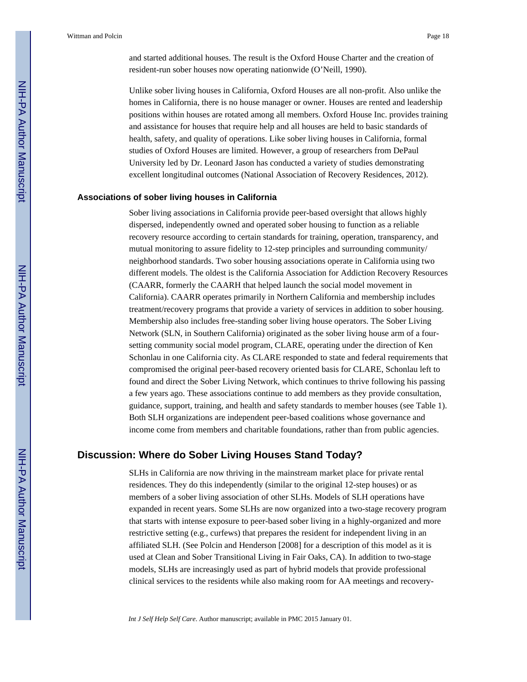and started additional houses. The result is the Oxford House Charter and the creation of resident-run sober houses now operating nationwide (O'Neill, 1990).

Unlike sober living houses in California, Oxford Houses are all non-profit. Also unlike the homes in California, there is no house manager or owner. Houses are rented and leadership positions within houses are rotated among all members. Oxford House Inc. provides training and assistance for houses that require help and all houses are held to basic standards of health, safety, and quality of operations. Like sober living houses in California, formal studies of Oxford Houses are limited. However, a group of researchers from DePaul University led by Dr. Leonard Jason has conducted a variety of studies demonstrating excellent longitudinal outcomes (National Association of Recovery Residences, 2012).

#### **Associations of sober living houses in California**

Sober living associations in California provide peer-based oversight that allows highly dispersed, independently owned and operated sober housing to function as a reliable recovery resource according to certain standards for training, operation, transparency, and mutual monitoring to assure fidelity to 12-step principles and surrounding community/ neighborhood standards. Two sober housing associations operate in California using two different models. The oldest is the California Association for Addiction Recovery Resources (CAARR, formerly the CAARH that helped launch the social model movement in California). CAARR operates primarily in Northern California and membership includes treatment/recovery programs that provide a variety of services in addition to sober housing. Membership also includes free-standing sober living house operators. The Sober Living Network (SLN, in Southern California) originated as the sober living house arm of a foursetting community social model program, CLARE, operating under the direction of Ken Schonlau in one California city. As CLARE responded to state and federal requirements that compromised the original peer-based recovery oriented basis for CLARE, Schonlau left to found and direct the Sober Living Network, which continues to thrive following his passing a few years ago. These associations continue to add members as they provide consultation, guidance, support, training, and health and safety standards to member houses (see Table 1). Both SLH organizations are independent peer-based coalitions whose governance and income come from members and charitable foundations, rather than from public agencies.

### **Discussion: Where do Sober Living Houses Stand Today?**

SLHs in California are now thriving in the mainstream market place for private rental residences. They do this independently (similar to the original 12-step houses) or as members of a sober living association of other SLHs. Models of SLH operations have expanded in recent years. Some SLHs are now organized into a two-stage recovery program that starts with intense exposure to peer-based sober living in a highly-organized and more restrictive setting (e.g., curfews) that prepares the resident for independent living in an affiliated SLH. (See Polcin and Henderson [2008] for a description of this model as it is used at Clean and Sober Transitional Living in Fair Oaks, CA). In addition to two-stage models, SLHs are increasingly used as part of hybrid models that provide professional clinical services to the residents while also making room for AA meetings and recovery-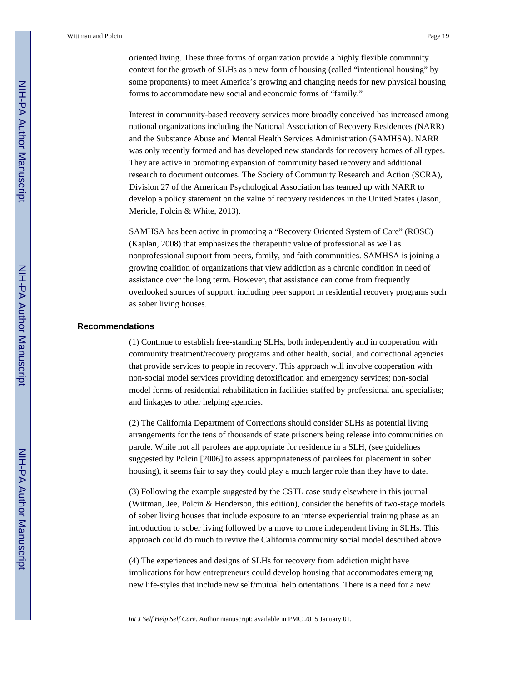oriented living. These three forms of organization provide a highly flexible community context for the growth of SLHs as a new form of housing (called "intentional housing" by some proponents) to meet America's growing and changing needs for new physical housing forms to accommodate new social and economic forms of "family."

Interest in community-based recovery services more broadly conceived has increased among national organizations including the National Association of Recovery Residences (NARR) and the Substance Abuse and Mental Health Services Administration (SAMHSA). NARR was only recently formed and has developed new standards for recovery homes of all types. They are active in promoting expansion of community based recovery and additional research to document outcomes. The Society of Community Research and Action (SCRA), Division 27 of the American Psychological Association has teamed up with NARR to develop a policy statement on the value of recovery residences in the United States (Jason, Mericle, Polcin & White, 2013).

SAMHSA has been active in promoting a "Recovery Oriented System of Care" (ROSC) (Kaplan, 2008) that emphasizes the therapeutic value of professional as well as nonprofessional support from peers, family, and faith communities. SAMHSA is joining a growing coalition of organizations that view addiction as a chronic condition in need of assistance over the long term. However, that assistance can come from frequently overlooked sources of support, including peer support in residential recovery programs such as sober living houses.

### **Recommendations**

(1) Continue to establish free-standing SLHs, both independently and in cooperation with community treatment/recovery programs and other health, social, and correctional agencies that provide services to people in recovery. This approach will involve cooperation with non-social model services providing detoxification and emergency services; non-social model forms of residential rehabilitation in facilities staffed by professional and specialists; and linkages to other helping agencies.

(2) The California Department of Corrections should consider SLHs as potential living arrangements for the tens of thousands of state prisoners being release into communities on parole. While not all parolees are appropriate for residence in a SLH, (see guidelines suggested by Polcin [2006] to assess appropriateness of parolees for placement in sober housing), it seems fair to say they could play a much larger role than they have to date.

(3) Following the example suggested by the CSTL case study elsewhere in this journal (Wittman, Jee, Polcin & Henderson, this edition), consider the benefits of two-stage models of sober living houses that include exposure to an intense experiential training phase as an introduction to sober living followed by a move to more independent living in SLHs. This approach could do much to revive the California community social model described above.

(4) The experiences and designs of SLHs for recovery from addiction might have implications for how entrepreneurs could develop housing that accommodates emerging new life-styles that include new self/mutual help orientations. There is a need for a new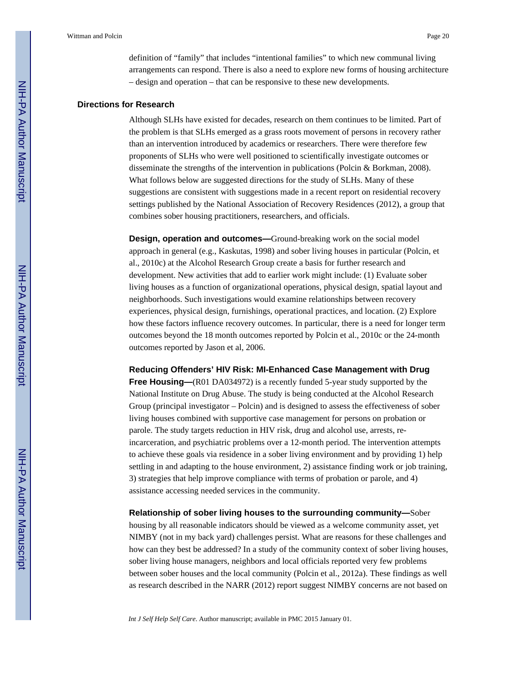definition of "family" that includes "intentional families" to which new communal living arrangements can respond. There is also a need to explore new forms of housing architecture – design and operation – that can be responsive to these new developments.

### **Directions for Research**

Although SLHs have existed for decades, research on them continues to be limited. Part of the problem is that SLHs emerged as a grass roots movement of persons in recovery rather than an intervention introduced by academics or researchers. There were therefore few proponents of SLHs who were well positioned to scientifically investigate outcomes or disseminate the strengths of the intervention in publications (Polcin & Borkman, 2008). What follows below are suggested directions for the study of SLHs. Many of these suggestions are consistent with suggestions made in a recent report on residential recovery settings published by the National Association of Recovery Residences (2012), a group that combines sober housing practitioners, researchers, and officials.

**Design, operation and outcomes—**Ground-breaking work on the social model approach in general (e.g., Kaskutas, 1998) and sober living houses in particular (Polcin, et al., 2010c) at the Alcohol Research Group create a basis for further research and development. New activities that add to earlier work might include: (1) Evaluate sober living houses as a function of organizational operations, physical design, spatial layout and neighborhoods. Such investigations would examine relationships between recovery experiences, physical design, furnishings, operational practices, and location. (2) Explore how these factors influence recovery outcomes. In particular, there is a need for longer term outcomes beyond the 18 month outcomes reported by Polcin et al., 2010c or the 24-month outcomes reported by Jason et al, 2006.

**Reducing Offenders' HIV Risk: MI-Enhanced Case Management with Drug** 

**Free Housing—(R01 DA034972)** is a recently funded 5-year study supported by the National Institute on Drug Abuse. The study is being conducted at the Alcohol Research Group (principal investigator – Polcin) and is designed to assess the effectiveness of sober living houses combined with supportive case management for persons on probation or parole. The study targets reduction in HIV risk, drug and alcohol use, arrests, reincarceration, and psychiatric problems over a 12-month period. The intervention attempts to achieve these goals via residence in a sober living environment and by providing 1) help settling in and adapting to the house environment, 2) assistance finding work or job training, 3) strategies that help improve compliance with terms of probation or parole, and 4) assistance accessing needed services in the community.

**Relationship of sober living houses to the surrounding community—**Sober housing by all reasonable indicators should be viewed as a welcome community asset, yet NIMBY (not in my back yard) challenges persist. What are reasons for these challenges and how can they best be addressed? In a study of the community context of sober living houses, sober living house managers, neighbors and local officials reported very few problems between sober houses and the local community (Polcin et al., 2012a). These findings as well as research described in the NARR (2012) report suggest NIMBY concerns are not based on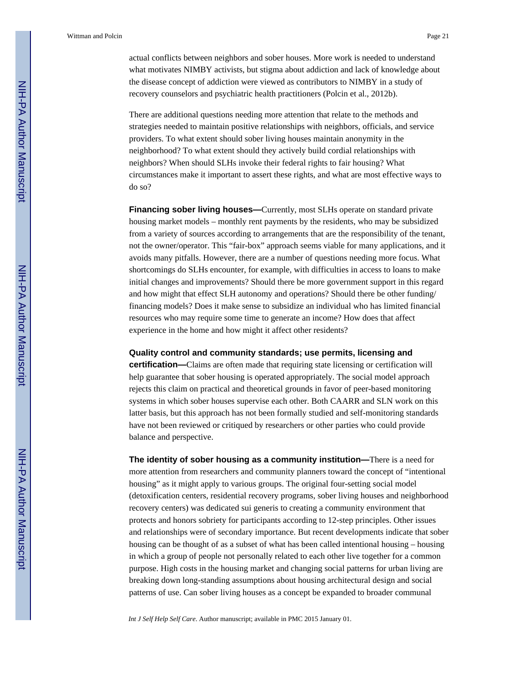actual conflicts between neighbors and sober houses. More work is needed to understand what motivates NIMBY activists, but stigma about addiction and lack of knowledge about the disease concept of addiction were viewed as contributors to NIMBY in a study of recovery counselors and psychiatric health practitioners (Polcin et al., 2012b).

There are additional questions needing more attention that relate to the methods and strategies needed to maintain positive relationships with neighbors, officials, and service providers. To what extent should sober living houses maintain anonymity in the neighborhood? To what extent should they actively build cordial relationships with neighbors? When should SLHs invoke their federal rights to fair housing? What circumstances make it important to assert these rights, and what are most effective ways to do so?

**Financing sober living houses—Currently, most SLHs operate on standard private** housing market models – monthly rent payments by the residents, who may be subsidized from a variety of sources according to arrangements that are the responsibility of the tenant, not the owner/operator. This "fair-box" approach seems viable for many applications, and it avoids many pitfalls. However, there are a number of questions needing more focus. What shortcomings do SLHs encounter, for example, with difficulties in access to loans to make initial changes and improvements? Should there be more government support in this regard and how might that effect SLH autonomy and operations? Should there be other funding/ financing models? Does it make sense to subsidize an individual who has limited financial resources who may require some time to generate an income? How does that affect experience in the home and how might it affect other residents?

### **Quality control and community standards; use permits, licensing and**

**certification—**Claims are often made that requiring state licensing or certification will help guarantee that sober housing is operated appropriately. The social model approach rejects this claim on practical and theoretical grounds in favor of peer-based monitoring systems in which sober houses supervise each other. Both CAARR and SLN work on this latter basis, but this approach has not been formally studied and self-monitoring standards have not been reviewed or critiqued by researchers or other parties who could provide balance and perspective.

**The identity of sober housing as a community institution—**There is a need for more attention from researchers and community planners toward the concept of "intentional housing" as it might apply to various groups. The original four-setting social model (detoxification centers, residential recovery programs, sober living houses and neighborhood recovery centers) was dedicated sui generis to creating a community environment that protects and honors sobriety for participants according to 12-step principles. Other issues and relationships were of secondary importance. But recent developments indicate that sober housing can be thought of as a subset of what has been called intentional housing – housing in which a group of people not personally related to each other live together for a common purpose. High costs in the housing market and changing social patterns for urban living are breaking down long-standing assumptions about housing architectural design and social patterns of use. Can sober living houses as a concept be expanded to broader communal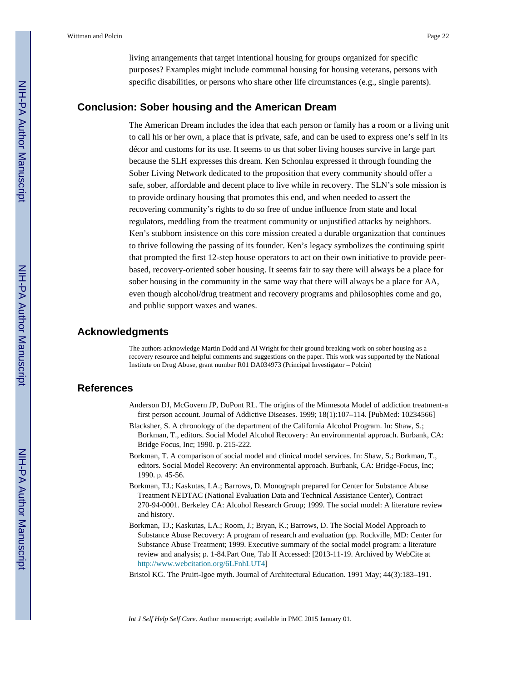living arrangements that target intentional housing for groups organized for specific purposes? Examples might include communal housing for housing veterans, persons with specific disabilities, or persons who share other life circumstances (e.g., single parents).

### **Conclusion: Sober housing and the American Dream**

The American Dream includes the idea that each person or family has a room or a living unit to call his or her own, a place that is private, safe, and can be used to express one's self in its décor and customs for its use. It seems to us that sober living houses survive in large part because the SLH expresses this dream. Ken Schonlau expressed it through founding the Sober Living Network dedicated to the proposition that every community should offer a safe, sober, affordable and decent place to live while in recovery. The SLN's sole mission is to provide ordinary housing that promotes this end, and when needed to assert the recovering community's rights to do so free of undue influence from state and local regulators, meddling from the treatment community or unjustified attacks by neighbors. Ken's stubborn insistence on this core mission created a durable organization that continues to thrive following the passing of its founder. Ken's legacy symbolizes the continuing spirit that prompted the first 12-step house operators to act on their own initiative to provide peerbased, recovery-oriented sober housing. It seems fair to say there will always be a place for sober housing in the community in the same way that there will always be a place for AA, even though alcohol/drug treatment and recovery programs and philosophies come and go, and public support waxes and wanes.

### **Acknowledgments**

The authors acknowledge Martin Dodd and Al Wright for their ground breaking work on sober housing as a recovery resource and helpful comments and suggestions on the paper. This work was supported by the National Institute on Drug Abuse, grant number R01 DA034973 (Principal Investigator – Polcin)

### **References**

- Anderson DJ, McGovern JP, DuPont RL. The origins of the Minnesota Model of addiction treatment-a first person account. Journal of Addictive Diseases. 1999; 18(1):107–114. [PubMed: 10234566]
- Blacksher, S. A chronology of the department of the California Alcohol Program. In: Shaw, S.; Borkman, T., editors. Social Model Alcohol Recovery: An environmental approach. Burbank, CA: Bridge Focus, Inc; 1990. p. 215-222.
- Borkman, T. A comparison of social model and clinical model services. In: Shaw, S.; Borkman, T., editors. Social Model Recovery: An environmental approach. Burbank, CA: Bridge-Focus, Inc; 1990. p. 45-56.
- Borkman, TJ.; Kaskutas, LA.; Barrows, D. Monograph prepared for Center for Substance Abuse Treatment NEDTAC (National Evaluation Data and Technical Assistance Center), Contract 270-94-0001. Berkeley CA: Alcohol Research Group; 1999. The social model: A literature review and history.
- Borkman, TJ.; Kaskutas, LA.; Room, J.; Bryan, K.; Barrows, D. The Social Model Approach to Substance Abuse Recovery: A program of research and evaluation (pp. Rockville, MD: Center for Substance Abuse Treatment; 1999. Executive summary of the social model program: a literature review and analysis; p. 1-84.Part One, Tab II Accessed: [2013-11-19. Archived by WebCite at [http://www.webcitation.org/6LFnhLUT4\]](http://www.webcitation.org/6LFnhLUT4)
- Bristol KG. The Pruitt-Igoe myth. Journal of Architectural Education. 1991 May; 44(3):183–191.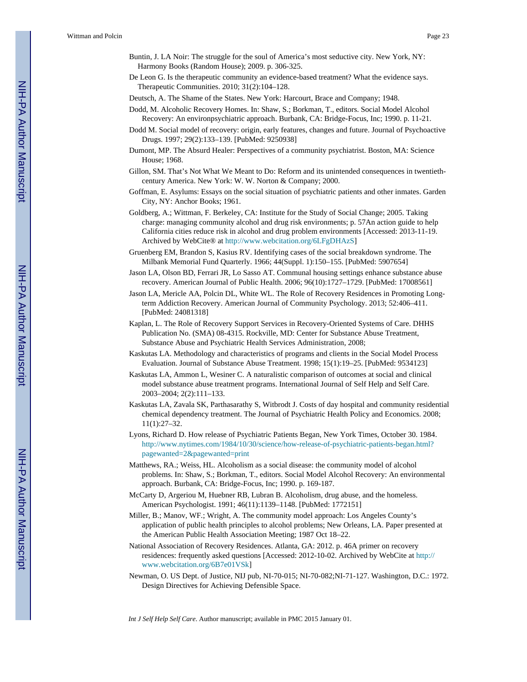- Buntin, J. LA Noir: The struggle for the soul of America's most seductive city. New York, NY: Harmony Books (Random House); 2009. p. 306-325.
- De Leon G. Is the therapeutic community an evidence-based treatment? What the evidence says. Therapeutic Communities. 2010; 31(2):104–128.
- Deutsch, A. The Shame of the States. New York: Harcourt, Brace and Company; 1948.
- Dodd, M. Alcoholic Recovery Homes. In: Shaw, S.; Borkman, T., editors. Social Model Alcohol Recovery: An environpsychiatric approach. Burbank, CA: Bridge-Focus, Inc; 1990. p. 11-21.
- Dodd M. Social model of recovery: origin, early features, changes and future. Journal of Psychoactive Drugs. 1997; 29(2):133–139. [PubMed: 9250938]
- Dumont, MP. The Absurd Healer: Perspectives of a community psychiatrist. Boston, MA: Science House; 1968.
- Gillon, SM. That's Not What We Meant to Do: Reform and its unintended consequences in twentiethcentury America. New York: W. W. Norton & Company; 2000.
- Goffman, E. Asylums: Essays on the social situation of psychiatric patients and other inmates. Garden City, NY: Anchor Books; 1961.
- Goldberg, A.; Wittman, F. Berkeley, CA: Institute for the Study of Social Change; 2005. Taking charge: managing community alcohol and drug risk environments; p. 57An action guide to help California cities reduce risk in alcohol and drug problem environments [Accessed: 2013-11-19. Archived by WebCite® at [http://www.webcitation.org/6LFgDHAzS\]](http://www.webcitation.org/6LFgDHAzS)
- Gruenberg EM, Brandon S, Kasius RV. Identifying cases of the social breakdown syndrome. The Milbank Memorial Fund Quarterly. 1966; 44(Suppl. 1):150–155. [PubMed: 5907654]
- Jason LA, Olson BD, Ferrari JR, Lo Sasso AT. Communal housing settings enhance substance abuse recovery. American Journal of Public Health. 2006; 96(10):1727–1729. [PubMed: 17008561]
- Jason LA, Mericle AA, Polcin DL, White WL. The Role of Recovery Residences in Promoting Longterm Addiction Recovery. American Journal of Community Psychology. 2013; 52:406–411. [PubMed: 24081318]
- Kaplan, L. The Role of Recovery Support Services in Recovery-Oriented Systems of Care. DHHS Publication No. (SMA) 08-4315. Rockville, MD: Center for Substance Abuse Treatment, Substance Abuse and Psychiatric Health Services Administration, 2008;
- Kaskutas LA. Methodology and characteristics of programs and clients in the Social Model Process Evaluation. Journal of Substance Abuse Treatment. 1998; 15(1):19–25. [PubMed: 9534123]
- Kaskutas LA, Ammon L, Wesiner C. A naturalistic comparison of outcomes at social and clinical model substance abuse treatment programs. International Journal of Self Help and Self Care. 2003–2004; 2(2):111–133.
- Kaskutas LA, Zavala SK, Parthasarathy S, Witbrodt J. Costs of day hospital and community residential chemical dependency treatment. The Journal of Psychiatric Health Policy and Economics. 2008; 11(1):27–32.
- Lyons, Richard D. How release of Psychiatric Patients Began, New York Times, October 30. 1984. [http://www.nytimes.com/1984/10/30/science/how-release-of-psychiatric-patients-began.html?](http://www.nytimes.com/1984/10/30/science/how-release-of-psychiatric-patients-began.html?pagewanted=2&pagewanted=print) [pagewanted=2&pagewanted=print](http://www.nytimes.com/1984/10/30/science/how-release-of-psychiatric-patients-began.html?pagewanted=2&pagewanted=print)
- Matthews, RA.; Weiss, HL. Alcoholism as a social disease: the community model of alcohol problems. In: Shaw, S.; Borkman, T., editors. Social Model Alcohol Recovery: An environmental approach. Burbank, CA: Bridge-Focus, Inc; 1990. p. 169-187.
- McCarty D, Argeriou M, Huebner RB, Lubran B. Alcoholism, drug abuse, and the homeless. American Psychologist. 1991; 46(11):1139–1148. [PubMed: 1772151]
- Miller, B.; Manov, WF.; Wright, A. The community model approach: Los Angeles County's application of public health principles to alcohol problems; New Orleans, LA. Paper presented at the American Public Health Association Meeting; 1987 Oct 18–22.
- National Association of Recovery Residences. Atlanta, GA: 2012. p. 46A primer on recovery residences: frequently asked questions [Accessed: 2012-10-02. Archived by WebCite at [http://](http://www.webcitation.org/6B7e01VSk) [www.webcitation.org/6B7e01VSk](http://www.webcitation.org/6B7e01VSk)]
- Newman, O. US Dept. of Justice, NIJ pub, NI-70-015; NI-70-082;NI-71-127. Washington, D.C.: 1972. Design Directives for Achieving Defensible Space.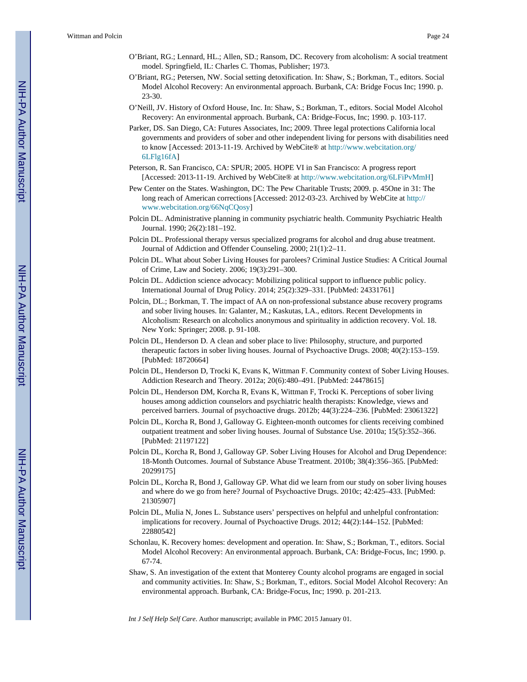- O'Briant, RG.; Lennard, HL.; Allen, SD.; Ransom, DC. Recovery from alcoholism: A social treatment model. Springfield, IL: Charles C. Thomas, Publisher; 1973.
- O'Briant, RG.; Petersen, NW. Social setting detoxification. In: Shaw, S.; Borkman, T., editors. Social Model Alcohol Recovery: An environmental approach. Burbank, CA: Bridge Focus Inc; 1990. p. 23-30.
- O'Neill, JV. History of Oxford House, Inc. In: Shaw, S.; Borkman, T., editors. Social Model Alcohol Recovery: An environmental approach. Burbank, CA: Bridge-Focus, Inc; 1990. p. 103-117.
- Parker, DS. San Diego, CA: Futures Associates, Inc; 2009. Three legal protections California local governments and providers of sober and other independent living for persons with disabilities need to know [Accessed: 2013-11-19. Archived by WebCite® at [http://www.webcitation.org/](http://www.webcitation.org/6LFlg16fA) [6LFlg16fA\]](http://www.webcitation.org/6LFlg16fA)
- Peterson, R. San Francisco, CA: SPUR; 2005. HOPE VI in San Francisco: A progress report [Accessed: 2013-11-19. Archived by WebCite® at [http://www.webcitation.org/6LFiPvMmH\]](http://www.webcitation.org/6LFiPvMmH)
- Pew Center on the States. Washington, DC: The Pew Charitable Trusts; 2009. p. 45One in 31: The long reach of American corrections [Accessed: 2012-03-23. Archived by WebCite at [http://](http://www.webcitation.org/66NqCQosy) [www.webcitation.org/66NqCQosy](http://www.webcitation.org/66NqCQosy)]
- Polcin DL. Administrative planning in community psychiatric health. Community Psychiatric Health Journal. 1990; 26(2):181–192.
- Polcin DL. Professional therapy versus specialized programs for alcohol and drug abuse treatment. Journal of Addiction and Offender Counseling. 2000; 21(1):2–11.
- Polcin DL. What about Sober Living Houses for parolees? Criminal Justice Studies: A Critical Journal of Crime, Law and Society. 2006; 19(3):291–300.
- Polcin DL. Addiction science advocacy: Mobilizing political support to influence public policy. International Journal of Drug Policy. 2014; 25(2):329–331. [PubMed: 24331761]
- Polcin, DL.; Borkman, T. The impact of AA on non-professional substance abuse recovery programs and sober living houses. In: Galanter, M.; Kaskutas, LA., editors. Recent Developments in Alcoholism: Research on alcoholics anonymous and spirituality in addiction recovery. Vol. 18. New York: Springer; 2008. p. 91-108.
- Polcin DL, Henderson D. A clean and sober place to live: Philosophy, structure, and purported therapeutic factors in sober living houses. Journal of Psychoactive Drugs. 2008; 40(2):153–159. [PubMed: 18720664]
- Polcin DL, Henderson D, Trocki K, Evans K, Wittman F. Community context of Sober Living Houses. Addiction Research and Theory. 2012a; 20(6):480–491. [PubMed: 24478615]
- Polcin DL, Henderson DM, Korcha R, Evans K, Wittman F, Trocki K. Perceptions of sober living houses among addiction counselors and psychiatric health therapists: Knowledge, views and perceived barriers. Journal of psychoactive drugs. 2012b; 44(3):224–236. [PubMed: 23061322]
- Polcin DL, Korcha R, Bond J, Galloway G. Eighteen-month outcomes for clients receiving combined outpatient treatment and sober living houses. Journal of Substance Use. 2010a; 15(5):352–366. [PubMed: 21197122]
- Polcin DL, Korcha R, Bond J, Galloway GP. Sober Living Houses for Alcohol and Drug Dependence: 18-Month Outcomes. Journal of Substance Abuse Treatment. 2010b; 38(4):356–365. [PubMed: 20299175]
- Polcin DL, Korcha R, Bond J, Galloway GP. What did we learn from our study on sober living houses and where do we go from here? Journal of Psychoactive Drugs. 2010c; 42:425–433. [PubMed: 21305907]
- Polcin DL, Mulia N, Jones L. Substance users' perspectives on helpful and unhelpful confrontation: implications for recovery. Journal of Psychoactive Drugs. 2012; 44(2):144–152. [PubMed: 22880542]
- Schonlau, K. Recovery homes: development and operation. In: Shaw, S.; Borkman, T., editors. Social Model Alcohol Recovery: An environmental approach. Burbank, CA: Bridge-Focus, Inc; 1990. p. 67-74.
- Shaw, S. An investigation of the extent that Monterey County alcohol programs are engaged in social and community activities. In: Shaw, S.; Borkman, T., editors. Social Model Alcohol Recovery: An environmental approach. Burbank, CA: Bridge-Focus, Inc; 1990. p. 201-213.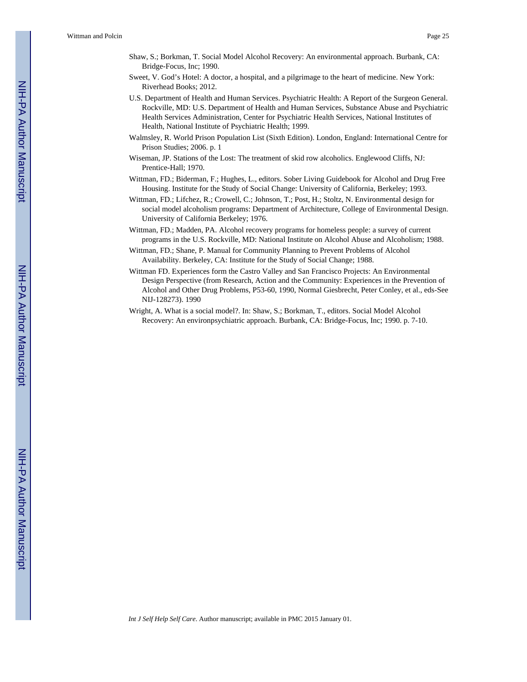- Shaw, S.; Borkman, T. Social Model Alcohol Recovery: An environmental approach. Burbank, CA: Bridge-Focus, Inc; 1990.
- Sweet, V. God's Hotel: A doctor, a hospital, and a pilgrimage to the heart of medicine. New York: Riverhead Books; 2012.
- U.S. Department of Health and Human Services. Psychiatric Health: A Report of the Surgeon General. Rockville, MD: U.S. Department of Health and Human Services, Substance Abuse and Psychiatric Health Services Administration, Center for Psychiatric Health Services, National Institutes of Health, National Institute of Psychiatric Health; 1999.
- Walmsley, R. World Prison Population List (Sixth Edition). London, England: International Centre for Prison Studies; 2006. p. 1
- Wiseman, JP. Stations of the Lost: The treatment of skid row alcoholics. Englewood Cliffs, NJ: Prentice-Hall; 1970.
- Wittman, FD.; Biderman, F.; Hughes, L., editors. Sober Living Guidebook for Alcohol and Drug Free Housing. Institute for the Study of Social Change: University of California, Berkeley; 1993.
- Wittman, FD.; Lifchez, R.; Crowell, C.; Johnson, T.; Post, H.; Stoltz, N. Environmental design for social model alcoholism programs: Department of Architecture, College of Environmental Design. University of California Berkeley; 1976.
- Wittman, FD.; Madden, PA. Alcohol recovery programs for homeless people: a survey of current programs in the U.S. Rockville, MD: National Institute on Alcohol Abuse and Alcoholism; 1988.
- Wittman, FD.; Shane, P. Manual for Community Planning to Prevent Problems of Alcohol Availability. Berkeley, CA: Institute for the Study of Social Change; 1988.
- Wittman FD. Experiences form the Castro Valley and San Francisco Projects: An Environmental Design Perspective (from Research, Action and the Community: Experiences in the Prevention of Alcohol and Other Drug Problems, P53-60, 1990, Normal Giesbrecht, Peter Conley, et al., eds-See NIJ-128273). 1990
- Wright, A. What is a social model?. In: Shaw, S.; Borkman, T., editors. Social Model Alcohol Recovery: An environpsychiatric approach. Burbank, CA: Bridge-Focus, Inc; 1990. p. 7-10.